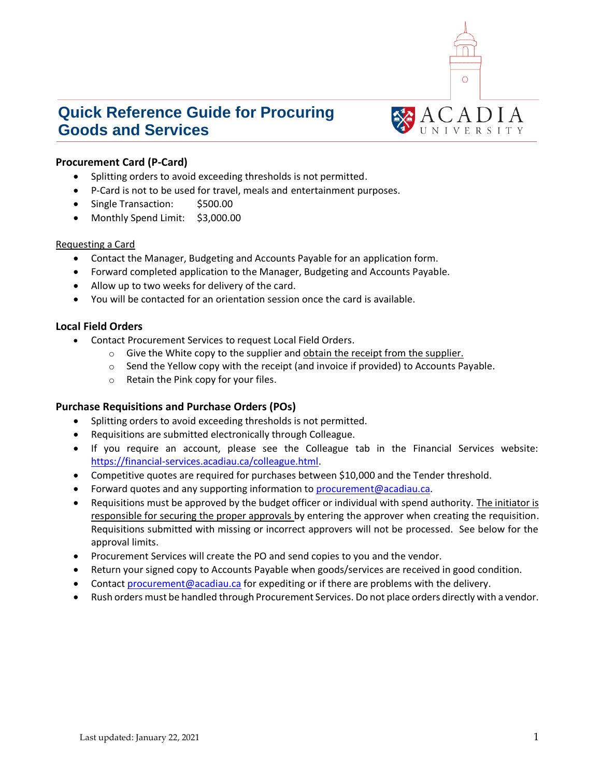

# **Quick Reference Guide for Procuring Goods and Services**

# **Procurement Card (P-Card)**

- Splitting orders to avoid exceeding thresholds is not permitted.
- P-Card is not to be used for travel, meals and entertainment purposes.
- Single Transaction: \$500.00
- Monthly Spend Limit: \$3,000.00

### Requesting a Card

- Contact the Manager, Budgeting and Accounts Payable for an application form.
- Forward completed application to the Manager, Budgeting and Accounts Payable.
- Allow up to two weeks for delivery of the card.
- You will be contacted for an orientation session once the card is available.

# **Local Field Orders**

- Contact Procurement Services to request Local Field Orders.
	- $\circ$  Give the White copy to the supplier and obtain the receipt from the supplier.
	- o Send the Yellow copy with the receipt (and invoice if provided) to Accounts Payable.
	- o Retain the Pink copy for your files.

# **Purchase Requisitions and Purchase Orders (POs)**

- Splitting orders to avoid exceeding thresholds is not permitted.
- Requisitions are submitted electronically through Colleague.
- If you require an account, please see the Colleague tab in the Financial Services website: [https://financial-services.acadiau.ca/colleague.html.](https://financial-services.acadiau.ca/colleague.html)
- Competitive quotes are required for purchases between \$10,000 and the Tender threshold.
- Forward quotes and any supporting information to [procurement@acadiau.ca.](mailto:procurement@acadiau.ca)
- Requisitions must be approved by the budget officer or individual with spend authority. The initiator is responsible for securing the proper approvals by entering the approver when creating the requisition. Requisitions submitted with missing or incorrect approvers will not be processed. See below for the approval limits.
- Procurement Services will create the PO and send copies to you and the vendor.
- Return your signed copy to Accounts Payable when goods/services are received in good condition.
- Contact [procurement@acadiau.ca](mailto:procurement@acadiau.ca) for expediting or if there are problems with the delivery.
- Rush orders must be handled through Procurement Services. Do not place orders directly with a vendor.